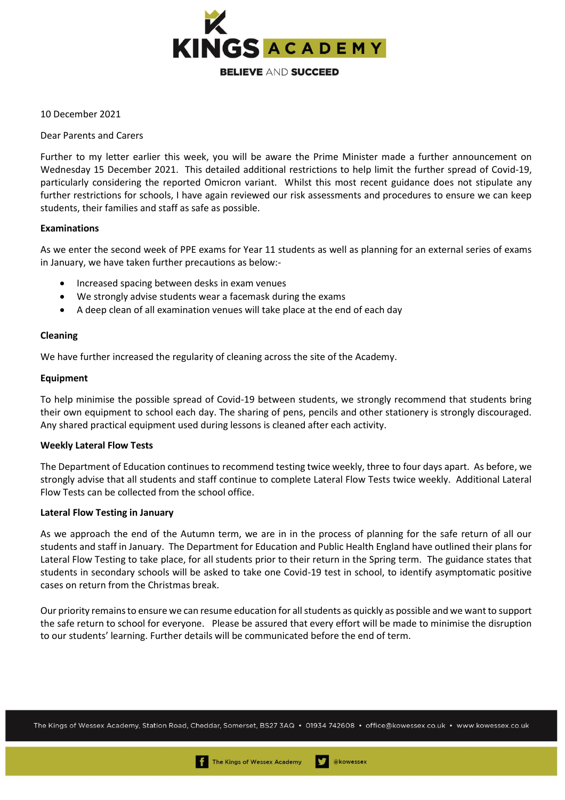

10 December 2021

Dear Parents and Carers

Further to my letter earlier this week, you will be aware the Prime Minister made a further announcement on Wednesday 15 December 2021. This detailed additional restrictions to help limit the further spread of Covid-19, particularly considering the reported Omicron variant. Whilst this most recent guidance does not stipulate any further restrictions for schools, I have again reviewed our risk assessments and procedures to ensure we can keep students, their families and staff as safe as possible.

# **Examinations**

As we enter the second week of PPE exams for Year 11 students as well as planning for an external series of exams in January, we have taken further precautions as below:-

- Increased spacing between desks in exam venues
- We strongly advise students wear a facemask during the exams
- A deep clean of all examination venues will take place at the end of each day

## **Cleaning**

We have further increased the regularity of cleaning across the site of the Academy.

# **Equipment**

To help minimise the possible spread of Covid-19 between students, we strongly recommend that students bring their own equipment to school each day. The sharing of pens, pencils and other stationery is strongly discouraged. Any shared practical equipment used during lessons is cleaned after each activity.

## **Weekly Lateral Flow Tests**

The Department of Education continues to recommend testing twice weekly, three to four days apart. As before, we strongly advise that all students and staff continue to complete Lateral Flow Tests twice weekly. Additional Lateral Flow Tests can be collected from the school office.

## **Lateral Flow Testing in January**

As we approach the end of the Autumn term, we are in in the process of planning for the safe return of all our students and staff in January. The Department for Education and Public Health England have outlined their plans for Lateral Flow Testing to take place, for all students prior to their return in the Spring term. The guidance states that students in secondary schools will be asked to take one Covid-19 test in school, to identify asymptomatic positive cases on return from the Christmas break.

Our priority remains to ensure we can resume education for all students as quickly as possible and we want to support the safe return to school for everyone. Please be assured that every effort will be made to minimise the disruption to our students' learning. Further details will be communicated before the end of term.

The Kings of Wessex Academy, Station Road, Cheddar, Somerset, BS27 3AQ • 01934 742608 • office@kowessex.co.uk • www.kowessex.co.uk

akowessex